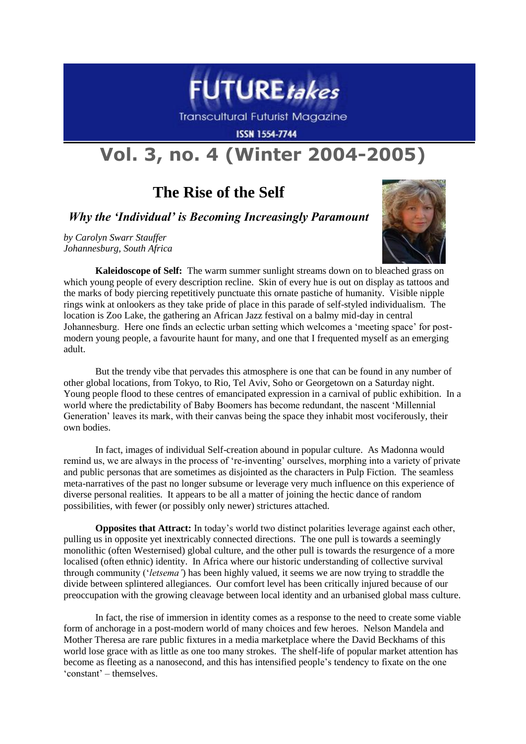

**Transcultural Futurist Magazine** 

**ISSN 1554-7744** 

## **Vol. 3, no. 4 (Winter 2004-2005)**

## **The Rise of the Self**

## *Why the 'Individual' is Becoming Increasingly Paramount*

*by Carolyn Swarr Stauffer Johannesburg, South Africa*



**Kaleidoscope of Self:**The warm summer sunlight streams down on to bleached grass on which young people of every description recline. Skin of every hue is out on display as tattoos and the marks of body piercing repetitively punctuate this ornate pastiche of humanity. Visible nipple rings wink at onlookers as they take pride of place in this parade of self-styled individualism. The location is Zoo Lake, the gathering an African Jazz festival on a balmy mid-day in central Johannesburg. Here one finds an eclectic urban setting which welcomes a "meeting space" for postmodern young people, a favourite haunt for many, and one that I frequented myself as an emerging adult.

But the trendy vibe that pervades this atmosphere is one that can be found in any number of other global locations, from Tokyo, to Rio, Tel Aviv, Soho or Georgetown on a Saturday night. Young people flood to these centres of emancipated expression in a carnival of public exhibition. In a world where the predictability of Baby Boomers has become redundant, the nascent "Millennial Generation" leaves its mark, with their canvas being the space they inhabit most vociferously, their own bodies.

In fact, images of individual Self-creation abound in popular culture. As Madonna would remind us, we are always in the process of "re-inventing" ourselves, morphing into a variety of private and public personas that are sometimes as disjointed as the characters in Pulp Fiction. The seamless meta-narratives of the past no longer subsume or leverage very much influence on this experience of diverse personal realities. It appears to be all a matter of joining the hectic dance of random possibilities, with fewer (or possibly only newer) strictures attached.

**Opposites that Attract:** In today's world two distinct polarities leverage against each other, pulling us in opposite yet inextricably connected directions. The one pull is towards a seemingly monolithic (often Westernised) global culture, and the other pull is towards the resurgence of a more localised (often ethnic) identity. In Africa where our historic understanding of collective survival through community ("*letsema'*) has been highly valued, it seems we are now trying to straddle the divide between splintered allegiances. Our comfort level has been critically injured because of our preoccupation with the growing cleavage between local identity and an urbanised global mass culture.

In fact, the rise of immersion in identity comes as a response to the need to create some viable form of anchorage in a post-modern world of many choices and few heroes. Nelson Mandela and Mother Theresa are rare public fixtures in a media marketplace where the David Beckhams of this world lose grace with as little as one too many strokes. The shelf-life of popular market attention has become as fleeting as a nanosecond, and this has intensified people"s tendency to fixate on the one "constant" – themselves.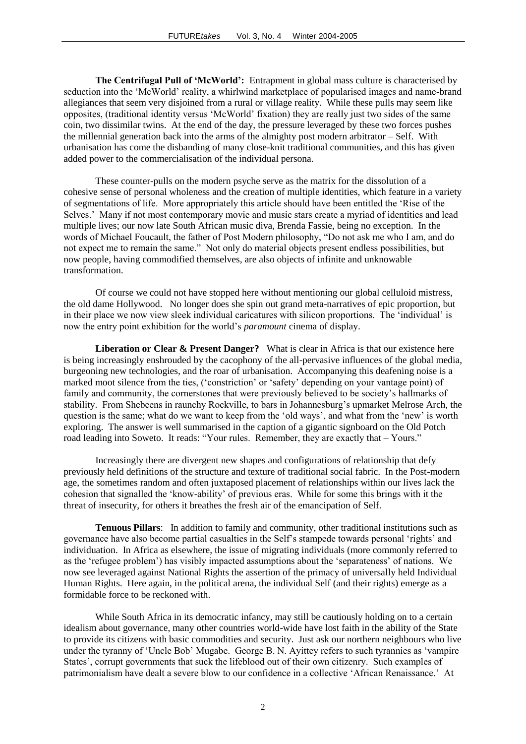**The Centrifugal Pull of 'McWorld':** Entrapment in global mass culture is characterised by seduction into the "McWorld" reality, a whirlwind marketplace of popularised images and name-brand allegiances that seem very disjoined from a rural or village reality. While these pulls may seem like opposites, (traditional identity versus "McWorld" fixation) they are really just two sides of the same coin, two dissimilar twins. At the end of the day, the pressure leveraged by these two forces pushes the millennial generation back into the arms of the almighty post modern arbitrator – Self. With urbanisation has come the disbanding of many close-knit traditional communities, and this has given added power to the commercialisation of the individual persona.

These counter-pulls on the modern psyche serve as the matrix for the dissolution of a cohesive sense of personal wholeness and the creation of multiple identities, which feature in a variety of segmentations of life. More appropriately this article should have been entitled the "Rise of the Selves." Many if not most contemporary movie and music stars create a myriad of identities and lead multiple lives; our now late South African music diva, Brenda Fassie, being no exception. In the words of Michael Foucault, the father of Post Modern philosophy, "Do not ask me who I am, and do not expect me to remain the same." Not only do material objects present endless possibilities, but now people, having commodified themselves, are also objects of infinite and unknowable transformation.

Of course we could not have stopped here without mentioning our global celluloid mistress, the old dame Hollywood. No longer does she spin out grand meta-narratives of epic proportion, but in their place we now view sleek individual caricatures with silicon proportions. The "individual" is now the entry point exhibition for the world"s *paramount* cinema of display.

**Liberation or Clear & Present Danger?** What is clear in Africa is that our existence here is being increasingly enshrouded by the cacophony of the all-pervasive influences of the global media, burgeoning new technologies, and the roar of urbanisation. Accompanying this deafening noise is a marked moot silence from the ties, ("constriction" or "safety" depending on your vantage point) of family and community, the cornerstones that were previously believed to be society"s hallmarks of stability. From Shebeens in raunchy Rockville, to bars in Johannesburg"s upmarket Melrose Arch, the question is the same; what do we want to keep from the 'old ways', and what from the 'new' is worth exploring. The answer is well summarised in the caption of a gigantic signboard on the Old Potch road leading into Soweto. It reads: "Your rules. Remember, they are exactly that – Yours."

Increasingly there are divergent new shapes and configurations of relationship that defy previously held definitions of the structure and texture of traditional social fabric. In the Post-modern age, the sometimes random and often juxtaposed placement of relationships within our lives lack the cohesion that signalled the "know-ability" of previous eras. While for some this brings with it the threat of insecurity, for others it breathes the fresh air of the emancipation of Self.

**Tenuous Pillars**: In addition to family and community, other traditional institutions such as governance have also become partial casualties in the Self"s stampede towards personal "rights" and individuation. In Africa as elsewhere, the issue of migrating individuals (more commonly referred to as the "refugee problem") has visibly impacted assumptions about the "separateness" of nations. We now see leveraged against National Rights the assertion of the primacy of universally held Individual Human Rights. Here again, in the political arena, the individual Self (and their rights) emerge as a formidable force to be reckoned with.

While South Africa in its democratic infancy, may still be cautiously holding on to a certain idealism about governance, many other countries world-wide have lost faith in the ability of the State to provide its citizens with basic commodities and security. Just ask our northern neighbours who live under the tyranny of "Uncle Bob" Mugabe. George B. N. Ayittey refers to such tyrannies as "vampire States', corrupt governments that suck the lifeblood out of their own citizenry. Such examples of patrimonialism have dealt a severe blow to our confidence in a collective "African Renaissance." At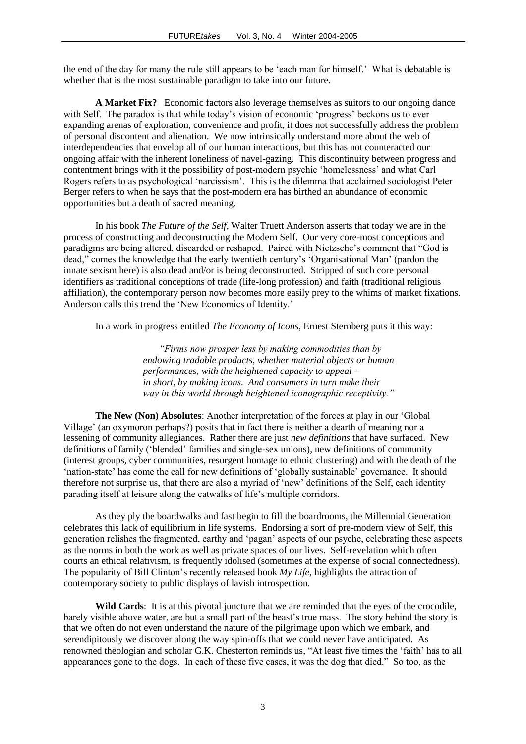the end of the day for many the rule still appears to be "each man for himself." What is debatable is whether that is the most sustainable paradigm to take into our future.

**A Market Fix?** Economic factors also leverage themselves as suitors to our ongoing dance with Self. The paradox is that while today's vision of economic 'progress' beckons us to ever expanding arenas of exploration, convenience and profit, it does not successfully address the problem of personal discontent and alienation. We now intrinsically understand more about the web of interdependencies that envelop all of our human interactions, but this has not counteracted our ongoing affair with the inherent loneliness of navel-gazing. This discontinuity between progress and contentment brings with it the possibility of post-modern psychic "homelessness" and what Carl Rogers refers to as psychological "narcissism". This is the dilemma that acclaimed sociologist Peter Berger refers to when he says that the post-modern era has birthed an abundance of economic opportunities but a death of sacred meaning.

In his book *The Future of the Self*, Walter Truett Anderson asserts that today we are in the process of constructing and deconstructing the Modern Self. Our very core-most conceptions and paradigms are being altered, discarded or reshaped. Paired with Nietzsche"s comment that "God is dead," comes the knowledge that the early twentieth century"s "Organisational Man" (pardon the innate sexism here) is also dead and/or is being deconstructed. Stripped of such core personal identifiers as traditional conceptions of trade (life-long profession) and faith (traditional religious affiliation), the contemporary person now becomes more easily prey to the whims of market fixations. Anderson calls this trend the "New Economics of Identity."

In a work in progress entitled *The Economy of Icons*, Ernest Sternberg puts it this way:

*"Firms now prosper less by making commodities than by endowing tradable products, whether material objects or human performances, with the heightened capacity to appeal – in short, by making icons. And consumers in turn make their way in this world through heightened iconographic receptivity."*

**The New (Non) Absolutes**: Another interpretation of the forces at play in our "Global Village" (an oxymoron perhaps?) posits that in fact there is neither a dearth of meaning nor a lessening of community allegiances. Rather there are just *new definitions* that have surfaced. New definitions of family ("blended" families and single-sex unions), new definitions of community (interest groups, cyber communities, resurgent homage to ethnic clustering) and with the death of the 'nation-state' has come the call for new definitions of 'globally sustainable' governance. It should therefore not surprise us, that there are also a myriad of "new" definitions of the Self, each identity parading itself at leisure along the catwalks of life"s multiple corridors.

As they ply the boardwalks and fast begin to fill the boardrooms, the Millennial Generation celebrates this lack of equilibrium in life systems. Endorsing a sort of pre-modern view of Self, this generation relishes the fragmented, earthy and "pagan" aspects of our psyche, celebrating these aspects as the norms in both the work as well as private spaces of our lives. Self-revelation which often courts an ethical relativism, is frequently idolised (sometimes at the expense of social connectedness). The popularity of Bill Clinton"s recently released book *My Life*, highlights the attraction of contemporary society to public displays of lavish introspection.

Wild Cards: It is at this pivotal juncture that we are reminded that the eyes of the crocodile. barely visible above water, are but a small part of the beast"s true mass. The story behind the story is that we often do not even understand the nature of the pilgrimage upon which we embark, and serendipitously we discover along the way spin-offs that we could never have anticipated. As renowned theologian and scholar G.K. Chesterton reminds us, "At least five times the "faith" has to all appearances gone to the dogs. In each of these five cases, it was the dog that died." So too, as the